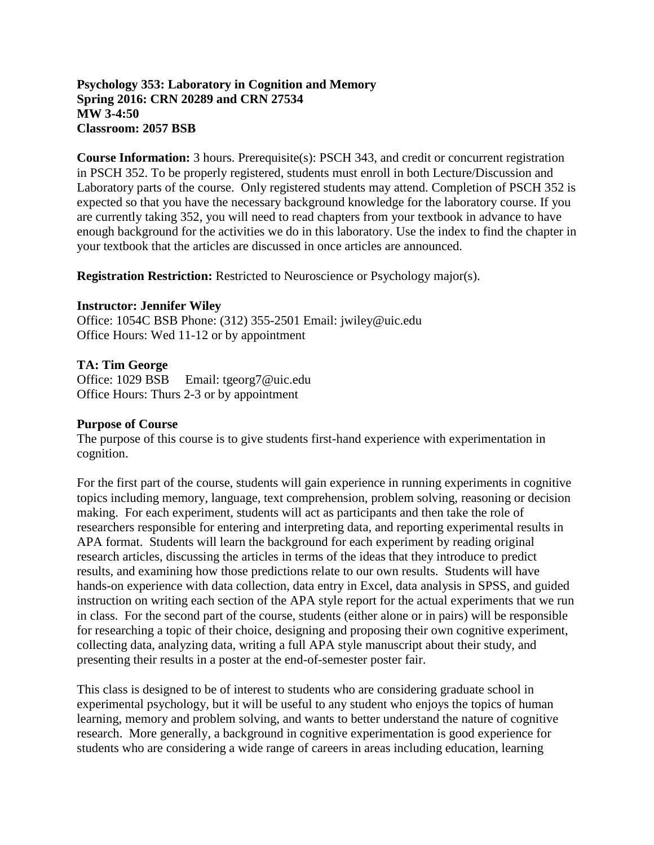## **Psychology 353: Laboratory in Cognition and Memory Spring 2016: CRN 20289 and CRN 27534 MW 3-4:50 Classroom: 2057 BSB**

**Course Information:** 3 hours. Prerequisite(s): PSCH 343, and credit or concurrent registration in PSCH 352. To be properly registered, students must enroll in both Lecture/Discussion and Laboratory parts of the course. Only registered students may attend. Completion of PSCH 352 is expected so that you have the necessary background knowledge for the laboratory course. If you are currently taking 352, you will need to read chapters from your textbook in advance to have enough background for the activities we do in this laboratory. Use the index to find the chapter in your textbook that the articles are discussed in once articles are announced.

**Registration Restriction:** Restricted to Neuroscience or Psychology major(s).

#### **Instructor: Jennifer Wiley**

Office: 1054C BSB Phone: (312) 355-2501 Email: jwiley@uic.edu Office Hours: Wed 11-12 or by appointment

### **TA: Tim George**

Office: 1029 BSB Email: tgeorg7@uic.edu Office Hours: Thurs 2-3 or by appointment

#### **Purpose of Course**

The purpose of this course is to give students first-hand experience with experimentation in cognition.

For the first part of the course, students will gain experience in running experiments in cognitive topics including memory, language, text comprehension, problem solving, reasoning or decision making. For each experiment, students will act as participants and then take the role of researchers responsible for entering and interpreting data, and reporting experimental results in APA format. Students will learn the background for each experiment by reading original research articles, discussing the articles in terms of the ideas that they introduce to predict results, and examining how those predictions relate to our own results. Students will have hands-on experience with data collection, data entry in Excel, data analysis in SPSS, and guided instruction on writing each section of the APA style report for the actual experiments that we run in class. For the second part of the course, students (either alone or in pairs) will be responsible for researching a topic of their choice, designing and proposing their own cognitive experiment, collecting data, analyzing data, writing a full APA style manuscript about their study, and presenting their results in a poster at the end-of-semester poster fair.

This class is designed to be of interest to students who are considering graduate school in experimental psychology, but it will be useful to any student who enjoys the topics of human learning, memory and problem solving, and wants to better understand the nature of cognitive research. More generally, a background in cognitive experimentation is good experience for students who are considering a wide range of careers in areas including education, learning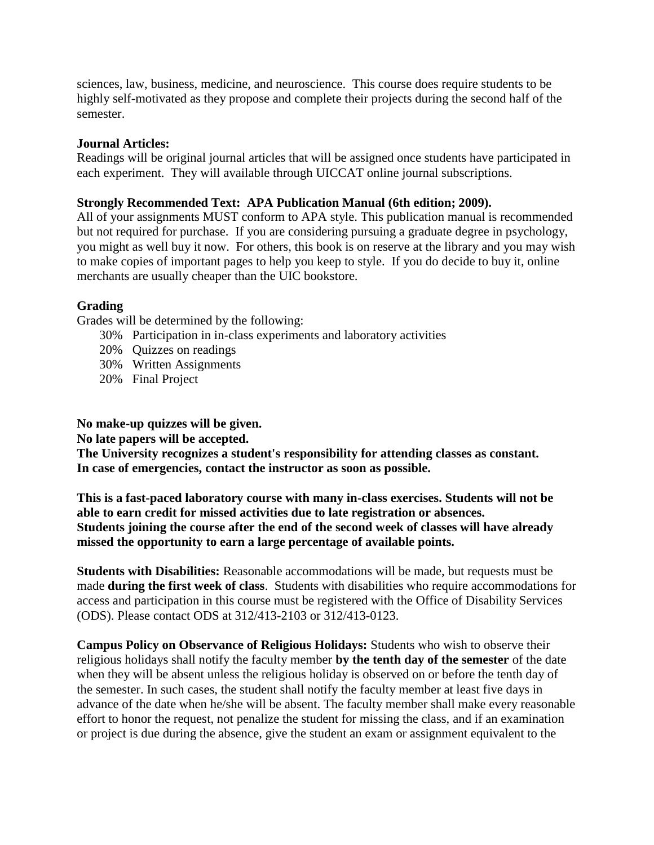sciences, law, business, medicine, and neuroscience. This course does require students to be highly self-motivated as they propose and complete their projects during the second half of the semester.

## **Journal Articles:**

Readings will be original journal articles that will be assigned once students have participated in each experiment. They will available through UICCAT online journal subscriptions.

## **Strongly Recommended Text: APA Publication Manual (6th edition; 2009).**

All of your assignments MUST conform to APA style. This publication manual is recommended but not required for purchase. If you are considering pursuing a graduate degree in psychology, you might as well buy it now. For others, this book is on reserve at the library and you may wish to make copies of important pages to help you keep to style. If you do decide to buy it, online merchants are usually cheaper than the UIC bookstore.

# **Grading**

Grades will be determined by the following:

- 30% Participation in in-class experiments and laboratory activities
- 20% Quizzes on readings
- 30% Written Assignments
- 20% Final Project

**No make-up quizzes will be given.**

**No late papers will be accepted.**

**The University recognizes a student's responsibility for attending classes as constant. In case of emergencies, contact the instructor as soon as possible.**

**This is a fast-paced laboratory course with many in-class exercises. Students will not be able to earn credit for missed activities due to late registration or absences. Students joining the course after the end of the second week of classes will have already missed the opportunity to earn a large percentage of available points.**

**Students with Disabilities:** Reasonable accommodations will be made, but requests must be made **during the first week of class**. Students with disabilities who require accommodations for access and participation in this course must be registered with the Office of Disability Services (ODS). Please contact ODS at 312/413-2103 or 312/413-0123.

**Campus Policy on Observance of Religious Holidays:** Students who wish to observe their religious holidays shall notify the faculty member **by the tenth day of the semester** of the date when they will be absent unless the religious holiday is observed on or before the tenth day of the semester. In such cases, the student shall notify the faculty member at least five days in advance of the date when he/she will be absent. The faculty member shall make every reasonable effort to honor the request, not penalize the student for missing the class, and if an examination or project is due during the absence, give the student an exam or assignment equivalent to the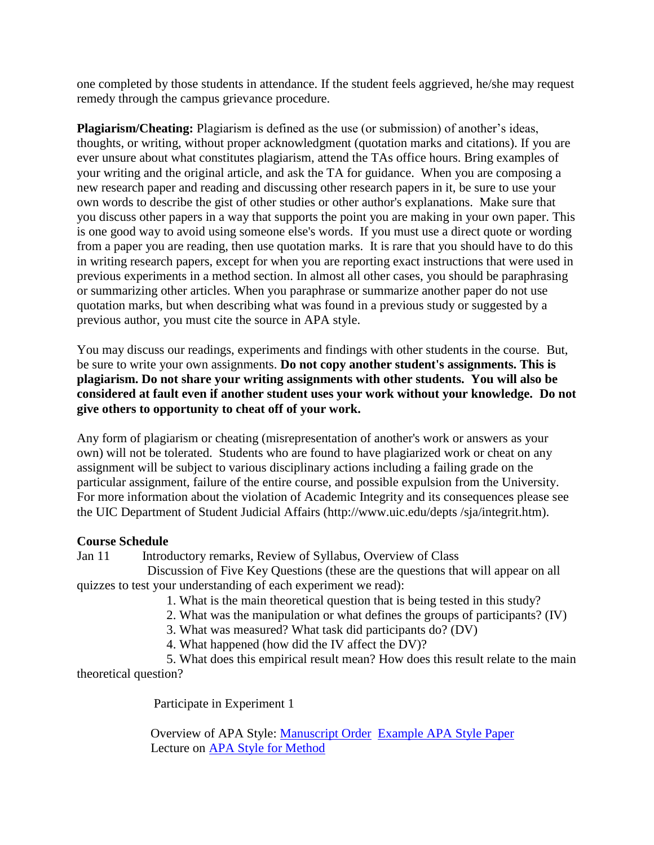one completed by those students in attendance. If the student feels aggrieved, he/she may request remedy through the campus grievance procedure.

**Plagiarism/Cheating:** Plagiarism is defined as the use (or submission) of another's ideas, thoughts, or writing, without proper acknowledgment (quotation marks and citations). If you are ever unsure about what constitutes plagiarism, attend the TAs office hours. Bring examples of your writing and the original article, and ask the TA for guidance. When you are composing a new research paper and reading and discussing other research papers in it, be sure to use your own words to describe the gist of other studies or other author's explanations. Make sure that you discuss other papers in a way that supports the point you are making in your own paper. This is one good way to avoid using someone else's words. If you must use a direct quote or wording from a paper you are reading, then use quotation marks. It is rare that you should have to do this in writing research papers, except for when you are reporting exact instructions that were used in previous experiments in a method section. In almost all other cases, you should be paraphrasing or summarizing other articles. When you paraphrase or summarize another paper do not use quotation marks, but when describing what was found in a previous study or suggested by a previous author, you must cite the source in APA style.

You may discuss our readings, experiments and findings with other students in the course. But, be sure to write your own assignments. **Do not copy another student's assignments. This is plagiarism. Do not share your writing assignments with other students. You will also be considered at fault even if another student uses your work without your knowledge. Do not give others to opportunity to cheat off of your work.**

Any form of plagiarism or cheating (misrepresentation of another's work or answers as your own) will not be tolerated. Students who are found to have plagiarized work or cheat on any assignment will be subject to various disciplinary actions including a failing grade on the particular assignment, failure of the entire course, and possible expulsion from the University. For more information about the violation of Academic Integrity and its consequences please see the UIC Department of Student Judicial Affairs (http://www.uic.edu/depts /sja/integrit.htm).

### **Course Schedule**

Jan 11 Introductory remarks, Review of Syllabus, Overview of Class

 Discussion of Five Key Questions (these are the questions that will appear on all quizzes to test your understanding of each experiment we read):

1. What is the main theoretical question that is being tested in this study?

2. What was the manipulation or what defines the groups of participants? (IV)

3. What was measured? What task did participants do? (DV)

4. What happened (how did the IV affect the DV)?

 5. What does this empirical result mean? How does this result relate to the main theoretical question?

Participate in Experiment 1

 Overview of APA Style: [Manuscript Order](http://wiley.lsri.uic.edu/psch353/APA_MS_Overview_S16.doc) [Example APA Style Paper](http://wiley.lsri.uic.edu/psch353/Example_APA_OneExp.pdf) Lecture on [APA Style for Method](http://wiley.lsri.uic.edu/psch353/APA_Method_S16.doc)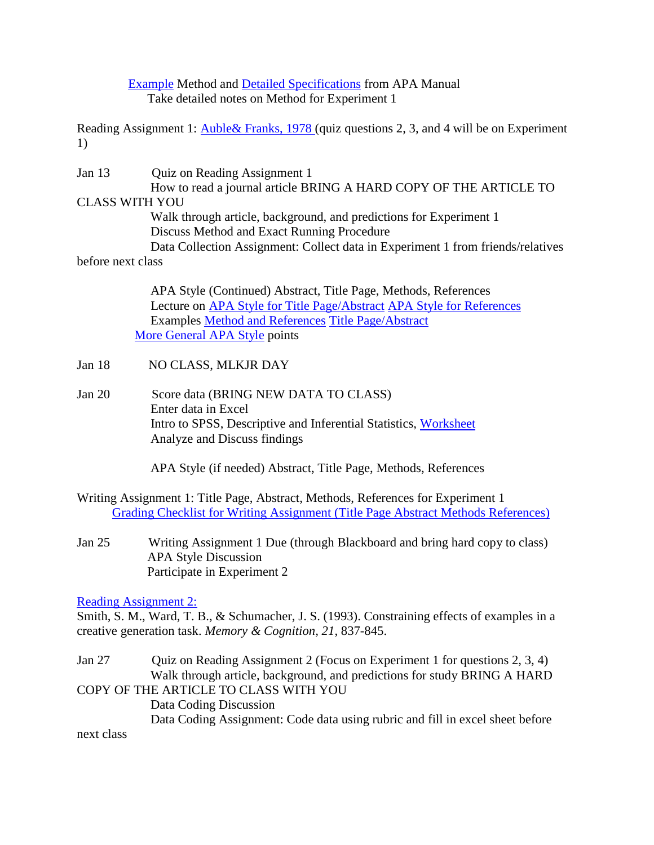## [Example](http://wiley.lsri.uic.edu/psch353/APAstyle_method_example.pdf) Method and [Detailed Specifications](http://wiley.lsri.uic.edu/psch353/APAstyle_method_elements.pdf) from APA Manual Take detailed notes on Method for Experiment 1

Reading Assignment 1: **Auble& Franks, 1978** (quiz questions 2, 3, and 4 will be on Experiment 1)

Jan 13 Quiz on Reading Assignment 1 How to read a journal article BRING A HARD COPY OF THE ARTICLE TO CLASS WITH YOU Walk through article, background, and predictions for Experiment 1 Discuss Method and Exact Running Procedure Data Collection Assignment: Collect data in Experiment 1 from friends/relatives before next class APA Style (Continued) Abstract, Title Page, Methods, References

 Lecture on [APA Style for Title Page/Abstract](http://wiley.lsri.uic.edu/psch353/APA_Title_Abstract_S16.doc) [APA Style for References](http://wiley.lsri.uic.edu/psch353/APA_References_S16.doc) Examples [Method and References](http://wiley.lsri.uic.edu/psch353/Example_APA_Method_References.pdf) [Title Page/Abstract](http://wiley.lsri.uic.edu/psch353/Example_APA_Title_Abstract.pdf) [More General APA Style](http://wiley.lsri.uic.edu/psch353/More%20General%20APA%20Style.docx) points

- Jan 18 NO CLASS, MLKJR DAY
- Jan 20 Score data (BRING NEW DATA TO CLASS) Enter data in Excel Intro to SPSS, Descriptive and Inferential Statistics, [Worksheet](http://wiley.lsri.uic.edu/psch353/how2spss_exp1_s16.doc) Analyze and Discuss findings

APA Style (if needed) Abstract, Title Page, Methods, References

Writing Assignment 1: Title Page, Abstract, Methods, References for Experiment 1 [Grading Checklist for Writing Assignment \(Title Page Abstract Methods References\)](http://wiley.lsri.uic.edu/psch353/gradesheet1_S16.doc)

Jan 25 Writing Assignment 1 Due (through Blackboard and bring hard copy to class) APA Style Discussion Participate in Experiment 2

[Reading Assignment 2:](http://wiley.lsri.uic.edu/psch353/sws93.pdf)

Smith, S. M., Ward, T. B., & Schumacher, J. S. (1993). Constraining effects of examples in a creative generation task. *Memory & Cognition, 21*, 837-845.

Jan 27 Quiz on Reading Assignment 2 (Focus on Experiment 1 for questions 2, 3, 4) Walk through article, background, and predictions for study BRING A HARD COPY OF THE ARTICLE TO CLASS WITH YOU

 Data Coding Discussion Data Coding Assignment: Code data using rubric and fill in excel sheet before

next class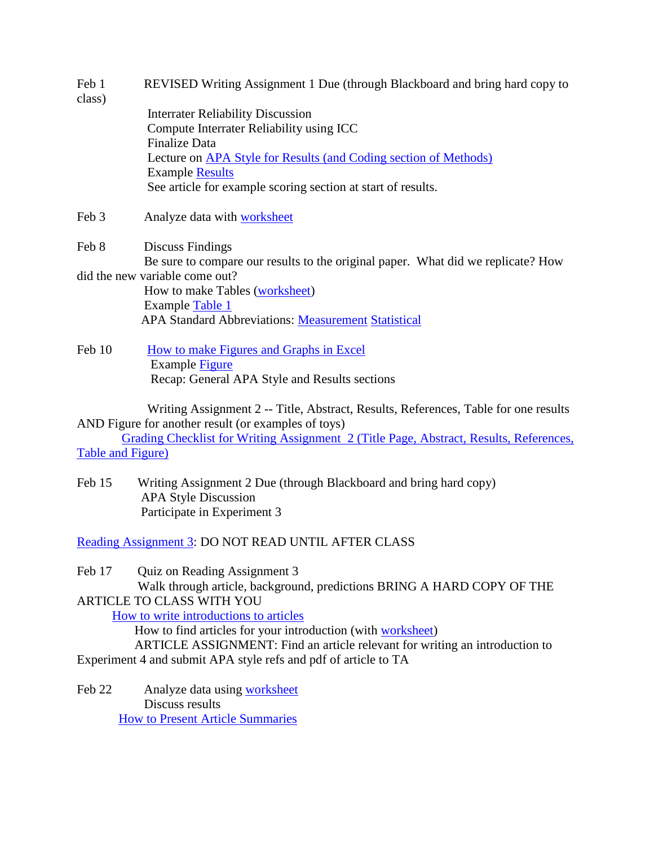| Feb 1  | REVISED Writing Assignment 1 Due (through Blackboard and bring hard copy to |
|--------|-----------------------------------------------------------------------------|
| class) |                                                                             |

 Interrater Reliability Discussion Compute Interrater Reliability using ICC Finalize Data Lecture on [APA Style for Results \(and Coding section of Methods\)](http://wiley.lsri.uic.edu/psch353/APA_Results_S16.docx) Example [Results](http://wiley.lsri.uic.edu/psch353/Example_APA_Results.pdf) See article for example scoring section at start of results.

Feb 3 Analyze data with [worksheet](http://wiley.lsri.uic.edu/psch353/how2spss_exp2_s16.docx)

Feb 8 Discuss Findings Be sure to compare our results to the original paper. What did we replicate? How did the new variable come out?

 How to make Tables [\(worksheet\)](http://wiley.lsri.uic.edu/psch353/353_Tables_worksheet_S16.docx) Example [Table 1](http://wiley.lsri.uic.edu/psch353/SampleTable_S16.pdf) APA Standard Abbreviations: [Measurement](http://wiley.lsri.uic.edu/psch353/APA%20Abbreviations%20Measurement.pdf) [Statistical](http://wiley.lsri.uic.edu/psch353/APA%20Abbreviations%20Statistical.pdf)

Feb 10 [How to make Figures and Graphs in Excel](http://wiley.lsri.uic.edu/psch353/353_FiguresandGraphs_worksheet_S16.docx) Example [Figure](http://wiley.lsri.uic.edu/psch353/Example_APA_Figure.pdf) Recap: General APA Style and Results sections

 Writing Assignment 2 -- Title, Abstract, Results, References, Table for one results AND Figure for another result (or examples of toys)

 Grading Checklist for Writing Assignment [2 \(Title Page, Abstract, Results, References,](http://wiley.lsri.uic.edu/psch353/gradesheet2_S16.doc)  [Table and Figure\)](http://wiley.lsri.uic.edu/psch353/gradesheet2_S16.doc)

Feb 15 Writing Assignment 2 Due (through Blackboard and bring hard copy) APA Style Discussion Participate in Experiment 3

[Reading Assignment 3:](http://wiley.lsri.uic.edu/psch353/mayer%202005.pdf) DO NOT READ UNTIL AFTER CLASS

Feb 17 Quiz on Reading Assignment 3

 Walk through article, background, predictions BRING A HARD COPY OF THE ARTICLE TO CLASS WITH YOU

[How to write introductions to articles](http://wiley.lsri.uic.edu/psch353/how2int.html)

How to find articles for your introduction (with [worksheet\)](http://wiley.lsri.uic.edu/psch353/how2keyword.doc)

 ARTICLE ASSIGNMENT: Find an article relevant for writing an introduction to Experiment 4 and submit APA style refs and pdf of article to TA

Feb 22 Analyze data using [worksheet](http://wiley.lsri.uic.edu/psch353/how2anal_expt4.rtf) Discuss results [How to Present Article Summaries](http://wiley.lsri.uic.edu/psch353/how2int.html)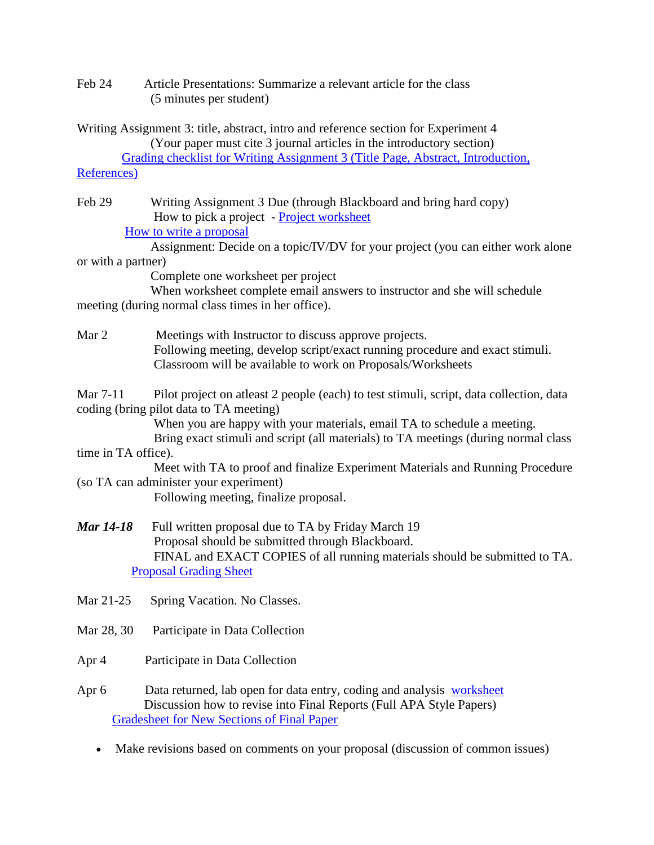Feb 24 Article Presentations: Summarize a relevant article for the class (5 minutes per student)

Writing Assignment 3: title, abstract, intro and reference section for Experiment 4 (Your paper must cite 3 journal articles in the introductory section)

 [Grading checklist for Writing Assignment 3 \(Title Page, Abstract, Introduction,](http://wiley.lsri.uic.edu/psch353/gradesheet4_S15.doc)  [References\)](http://wiley.lsri.uic.edu/psch353/gradesheet4_S15.doc)

Feb 29 Writing Assignment 3 Due (through Blackboard and bring hard copy) How to pick a project - [Project worksheet](http://wiley.lsri.uic.edu/psch353/how2proj.html)

[How to write a proposal](http://wiley.lsri.uic.edu/psch353/how2prop.doc)

 Assignment: Decide on a topic/IV/DV for your project (you can either work alone or with a partner)

Complete one worksheet per project

 When worksheet complete email answers to instructor and she will schedule meeting (during normal class times in her office).

Mar 2 Meetings with Instructor to discuss approve projects. Following meeting, develop script/exact running procedure and exact stimuli. Classroom will be available to work on Proposals/Worksheets

Mar 7-11 Pilot project on atleast 2 people (each) to test stimuli, script, data collection, data coding (bring pilot data to TA meeting)

When you are happy with your materials, email TA to schedule a meeting.

 Bring exact stimuli and script (all materials) to TA meetings (during normal class time in TA office).

 Meet with TA to proof and finalize Experiment Materials and Running Procedure (so TA can administer your experiment)

Following meeting, finalize proposal.

- *Mar 14-18* Full written proposal due to TA by Friday March 19 Proposal should be submitted through Blackboard. FINAL and EXACT COPIES of all running materials should be submitted to TA. [Proposal Grading Sheet](http://wiley.lsri.uic.edu/psch353/gradesheet_proposal_S15.doc)
- Mar 21-25 Spring Vacation. No Classes.
- Mar 28, 30 Participate in Data Collection
- Apr 4 Participate in Data Collection
- Apr 6 Data returned, lab open for data entry, coding and analysis [worksheet](http://wiley.lsri.uic.edu/psch353/how2spss_proj.rtf) Discussion how to revise into Final Reports (Full APA Style Papers) [Gradesheet for New Sections of Final Paper](http://wiley.lsri.uic.edu/psch353/PSCH%20353%20Final%20Paper%20Gradesheet%20for%20New%20Sections.docx)
	- Make revisions based on comments on your proposal (discussion of common issues)